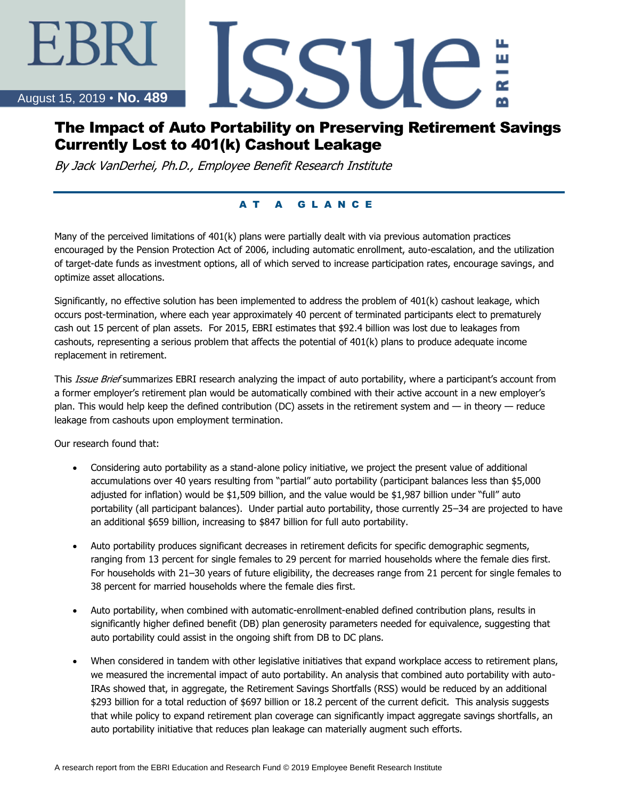#### August 15, 2019 • **No. 489**

EBRI

# The Impact of Auto Portability on Preserving Retirement Savings Currently Lost to 401(k) Cashout Leakage

SSUE

By Jack VanDerhei, Ph.D., Employee Benefit Research Institute

## A T A G L A N C E

Many of the perceived limitations of 401(k) plans were partially dealt with via previous automation practices encouraged by the Pension Protection Act of 2006, including automatic enrollment, auto-escalation, and the utilization of target-date funds as investment options, all of which served to increase participation rates, encourage savings, and optimize asset allocations.

Significantly, no effective solution has been implemented to address the problem of 401(k) cashout leakage, which occurs post-termination, where each year approximately 40 percent of terminated participants elect to prematurely cash out 15 percent of plan assets. For 2015, EBRI estimates that \$92.4 billion was lost due to leakages from cashouts, representing a serious problem that affects the potential of 401(k) plans to produce adequate income replacement in retirement.

This Issue Brief summarizes EBRI research analyzing the impact of auto portability, where a participant's account from a former employer's retirement plan would be automatically combined with their active account in a new employer's plan. This would help keep the defined contribution (DC) assets in the retirement system and — in theory — reduce leakage from cashouts upon employment termination.

Our research found that:

- Considering auto portability as a stand-alone policy initiative, we project the present value of additional accumulations over 40 years resulting from "partial" auto portability (participant balances less than \$5,000 adjusted for inflation) would be \$1,509 billion, and the value would be \$1,987 billion under "full" auto portability (all participant balances). Under partial auto portability, those currently 25–34 are projected to have an additional \$659 billion, increasing to \$847 billion for full auto portability.
- Auto portability produces significant decreases in retirement deficits for specific demographic segments, ranging from 13 percent for single females to 29 percent for married households where the female dies first. For households with 21–30 years of future eligibility, the decreases range from 21 percent for single females to 38 percent for married households where the female dies first.
- Auto portability, when combined with automatic-enrollment-enabled defined contribution plans, results in significantly higher defined benefit (DB) plan generosity parameters needed for equivalence, suggesting that auto portability could assist in the ongoing shift from DB to DC plans.
- When considered in tandem with other legislative initiatives that expand workplace access to retirement plans, we measured the incremental impact of auto portability. An analysis that combined auto portability with auto-IRAs showed that, in aggregate, the Retirement Savings Shortfalls (RSS) would be reduced by an additional \$293 billion for a total reduction of \$697 billion or 18.2 percent of the current deficit. This analysis suggests that while policy to expand retirement plan coverage can significantly impact aggregate savings shortfalls, an auto portability initiative that reduces plan leakage can materially augment such efforts.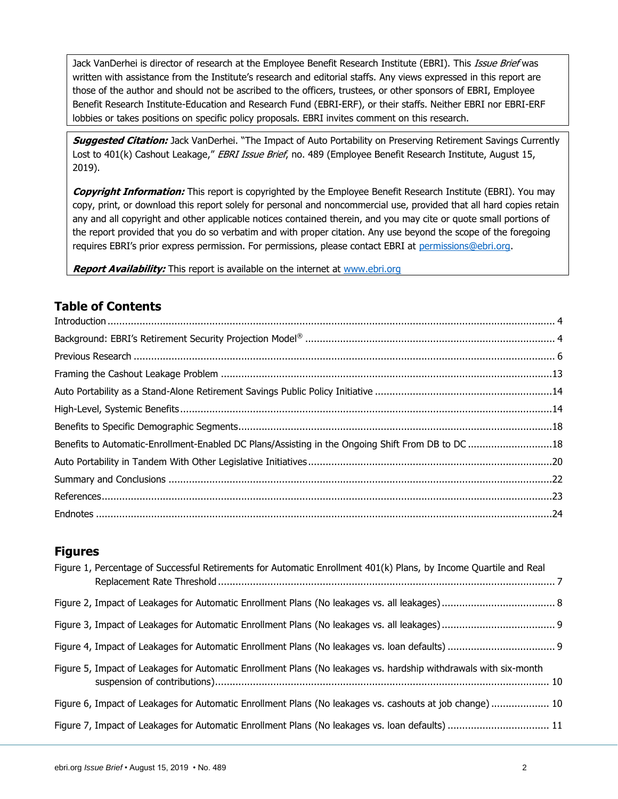Jack VanDerhei is director of research at the Employee Benefit Research Institute (EBRI). This *Issue Brief* was written with assistance from the Institute's research and editorial staffs. Any views expressed in this report are those of the author and should not be ascribed to the officers, trustees, or other sponsors of EBRI, Employee Benefit Research Institute-Education and Research Fund (EBRI-ERF), or their staffs. Neither EBRI nor EBRI-ERF lobbies or takes positions on specific policy proposals. EBRI invites comment on this research.

**Suggested Citation:** Jack VanDerhei. "The Impact of Auto Portability on Preserving Retirement Savings Currently Lost to 401(k) Cashout Leakage," EBRI Issue Brief, no. 489 (Employee Benefit Research Institute, August 15, 2019).

**Copyright Information:** This report is copyrighted by the Employee Benefit Research Institute (EBRI). You may copy, print, or download this report solely for personal and noncommercial use, provided that all hard copies retain any and all copyright and other applicable notices contained therein, and you may cite or quote small portions of the report provided that you do so verbatim and with proper citation. Any use beyond the scope of the foregoing requires EBRI's prior express permission. For permissions, please contact EBRI at [permissions@ebri.org.](mailto:permissions@ebri.org)

**Report Availability:** This report is available on the internet at [www.ebri.org](http://www.ebri.org/)

# **Table of Contents**

| Benefits to Automatic-Enrollment-Enabled DC Plans/Assisting in the Ongoing Shift From DB to DC 18 |  |
|---------------------------------------------------------------------------------------------------|--|
|                                                                                                   |  |
|                                                                                                   |  |
|                                                                                                   |  |
|                                                                                                   |  |

#### **Figures**

| Figure 1, Percentage of Successful Retirements for Automatic Enrollment 401(k) Plans, by Income Quartile and Real |  |
|-------------------------------------------------------------------------------------------------------------------|--|
|                                                                                                                   |  |
|                                                                                                                   |  |
|                                                                                                                   |  |
| Figure 5, Impact of Leakages for Automatic Enrollment Plans (No leakages vs. hardship withdrawals with six-month  |  |
| Figure 6, Impact of Leakages for Automatic Enrollment Plans (No leakages vs. cashouts at job change) 10           |  |
| Figure 7, Impact of Leakages for Automatic Enrollment Plans (No leakages vs. loan defaults)  11                   |  |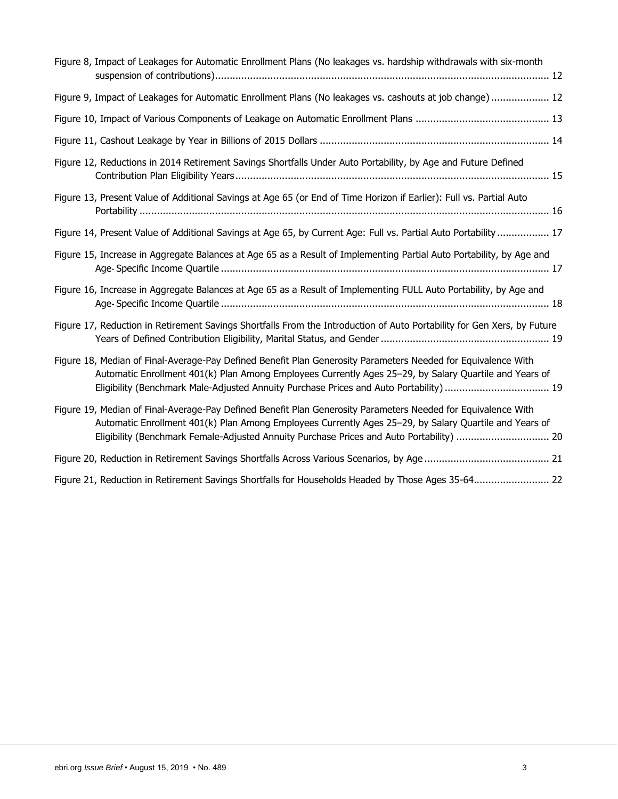| Figure 8, Impact of Leakages for Automatic Enrollment Plans (No leakages vs. hardship withdrawals with six-month                                                                                                                                                                                                    |
|---------------------------------------------------------------------------------------------------------------------------------------------------------------------------------------------------------------------------------------------------------------------------------------------------------------------|
| Figure 9, Impact of Leakages for Automatic Enrollment Plans (No leakages vs. cashouts at job change) 12                                                                                                                                                                                                             |
|                                                                                                                                                                                                                                                                                                                     |
|                                                                                                                                                                                                                                                                                                                     |
| Figure 12, Reductions in 2014 Retirement Savings Shortfalls Under Auto Portability, by Age and Future Defined                                                                                                                                                                                                       |
| Figure 13, Present Value of Additional Savings at Age 65 (or End of Time Horizon if Earlier): Full vs. Partial Auto                                                                                                                                                                                                 |
| Figure 14, Present Value of Additional Savings at Age 65, by Current Age: Full vs. Partial Auto Portability  17                                                                                                                                                                                                     |
| Figure 15, Increase in Aggregate Balances at Age 65 as a Result of Implementing Partial Auto Portability, by Age and                                                                                                                                                                                                |
| Figure 16, Increase in Aggregate Balances at Age 65 as a Result of Implementing FULL Auto Portability, by Age and                                                                                                                                                                                                   |
| Figure 17, Reduction in Retirement Savings Shortfalls From the Introduction of Auto Portability for Gen Xers, by Future                                                                                                                                                                                             |
| Figure 18, Median of Final-Average-Pay Defined Benefit Plan Generosity Parameters Needed for Equivalence With<br>Automatic Enrollment 401(k) Plan Among Employees Currently Ages 25-29, by Salary Quartile and Years of<br>Eligibility (Benchmark Male-Adjusted Annuity Purchase Prices and Auto Portability)  19   |
| Figure 19, Median of Final-Average-Pay Defined Benefit Plan Generosity Parameters Needed for Equivalence With<br>Automatic Enrollment 401(k) Plan Among Employees Currently Ages 25-29, by Salary Quartile and Years of<br>Eligibility (Benchmark Female-Adjusted Annuity Purchase Prices and Auto Portability)  20 |
|                                                                                                                                                                                                                                                                                                                     |
| Figure 21, Reduction in Retirement Savings Shortfalls for Households Headed by Those Ages 35-64 22                                                                                                                                                                                                                  |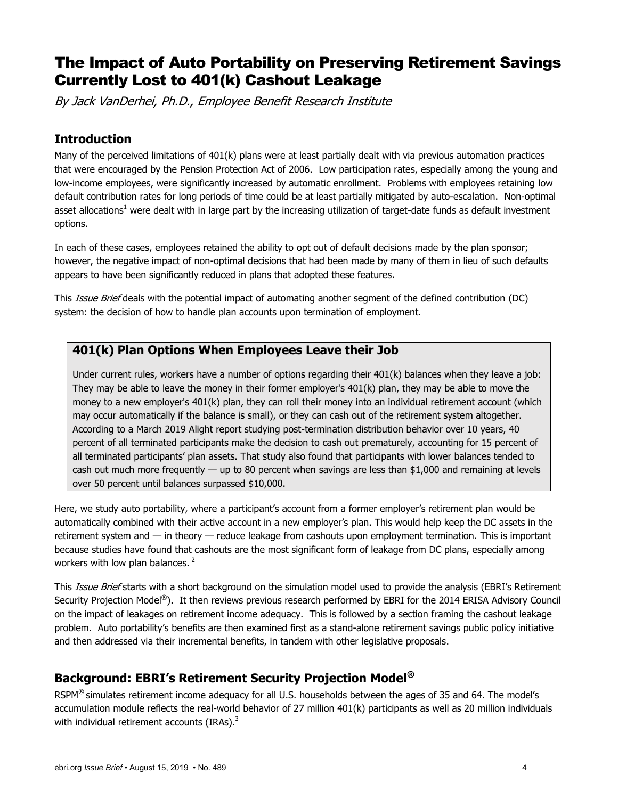# The Impact of Auto Portability on Preserving Retirement Savings Currently Lost to 401(k) Cashout Leakage

By Jack VanDerhei, Ph.D., Employee Benefit Research Institute

#### <span id="page-3-0"></span>**Introduction**

Many of the perceived limitations of 401(k) plans were at least partially dealt with via previous automation practices that were encouraged by the Pension Protection Act of 2006. Low participation rates, especially among the young and low-income employees, were significantly increased by automatic enrollment. Problems with employees retaining low default contribution rates for long periods of time could be at least partially mitigated by auto-escalation. Non-optimal asset allocations<sup>1</sup> were dealt with in large part by the increasing utilization of target-date funds as default investment options.

In each of these cases, employees retained the ability to opt out of default decisions made by the plan sponsor; however, the negative impact of non-optimal decisions that had been made by many of them in lieu of such defaults appears to have been significantly reduced in plans that adopted these features.

This Issue Brief deals with the potential impact of automating another segment of the defined contribution (DC) system: the decision of how to handle plan accounts upon termination of employment.

#### **401(k) Plan Options When Employees Leave their Job**

Under current rules, workers have a number of options regarding their 401(k) balances when they leave a job: They may be able to leave the money in their former employer's 401(k) plan, they may be able to move the money to a new employer's 401(k) plan, they can roll their money into an individual retirement account (which may occur automatically if the balance is small), or they can cash out of the retirement system altogether. According to a March 2019 Alight report studying post-termination distribution behavior over 10 years, 40 percent of all terminated participants make the decision to cash out prematurely, accounting for 15 percent of all terminated participants' plan assets. That study also found that participants with lower balances tended to cash out much more frequently — up to 80 percent when savings are less than \$1,000 and remaining at levels over 50 percent until balances surpassed \$10,000.

Here, we study auto portability, where a participant's account from a former employer's retirement plan would be automatically combined with their active account in a new employer's plan. This would help keep the DC assets in the retirement system and — in theory — reduce leakage from cashouts upon employment termination. This is important because studies have found that cashouts are the most significant form of leakage from DC plans, especially among workers with low plan balances.  $2^2$ 

This Issue Brief starts with a short background on the simulation model used to provide the analysis (EBRI's Retirement Security Projection Model®). It then reviews previous research performed by EBRI for the 2014 ERISA Advisory Council on the impact of leakages on retirement income adequacy. This is followed by a section framing the cashout leakage problem. Auto portability's benefits are then examined first as a stand-alone retirement savings public policy initiative and then addressed via their incremental benefits, in tandem with other legislative proposals.

### <span id="page-3-1"></span>**Background: EBRI's Retirement Security Projection Model®**

RSPM<sup>®</sup> simulates retirement income adequacy for all U.S. households between the ages of 35 and 64. The model's accumulation module reflects the real-world behavior of 27 million 401(k) participants as well as 20 million individuals with individual retirement accounts  $(IRAs)^3$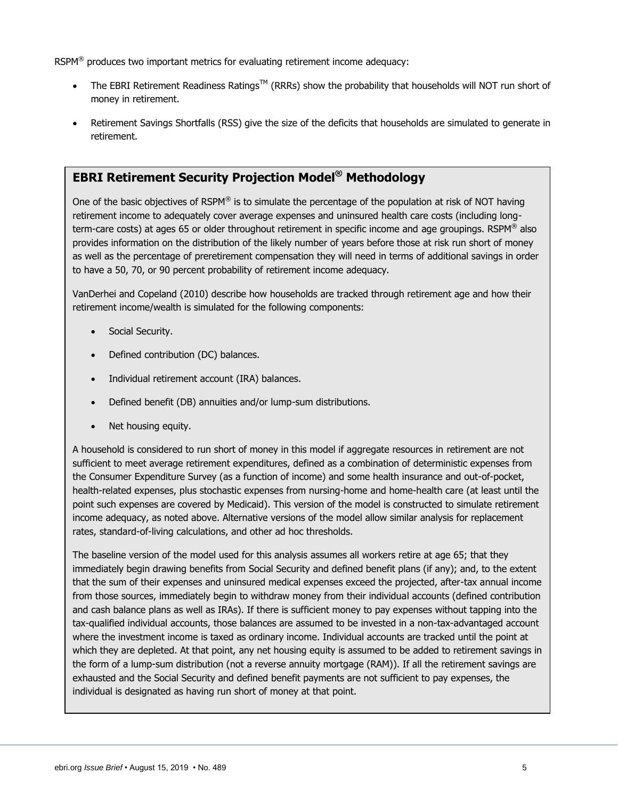RSPM $^{\circledR}$  produces two important metrics for evaluating retirement income adequacy:

- The EBRI Retirement Readiness Ratings<sup>TM</sup> (RRRs) show the probability that households will NOT run short of money in retirement.
- Retirement Savings Shortfalls (RSS) give the size of the deficits that households are simulated to generate in retirement.

# **EBRI Retirement Security Projection Model® Methodology**

One of the basic objectives of RSPM® is to simulate the percentage of the population at risk of NOT having retirement income to adequately cover average expenses and uninsured health care costs (including longterm-care costs) at ages 65 or older throughout retirement in specific income and age groupings. RSPM® also provides information on the distribution of the likely number of years before those at risk run short of money as well as the percentage of preretirement compensation they will need in terms of additional savings in order to have a 50, 70, or 90 percent probability of retirement income adequacy.

VanDerhei and Copeland (2010) describe how households are tracked through retirement age and how their retirement income/wealth is simulated for the following components:

- Social Security.
- Defined contribution (DC) balances.
- Individual retirement account (IRA) balances.
- Defined benefit (DB) annuities and/or lump-sum distributions.
- Net housing equity.

A household is considered to run short of money in this model if aggregate resources in retirement are not sufficient to meet average retirement expenditures, defined as a combination of deterministic expenses from the Consumer Expenditure Survey (as a function of income) and some health insurance and out-of-pocket, health-related expenses, plus stochastic expenses from nursing-home and home-health care (at least until the point such expenses are covered by Medicaid). This version of the model is constructed to simulate retirement income adequacy, as noted above. Alternative versions of the model allow similar analysis for replacement rates, standard-of-living calculations, and other ad hoc thresholds.

The baseline version of the model used for this analysis assumes all workers retire at age 65; that they immediately begin drawing benefits from Social Security and defined benefit plans (if any); and, to the extent that the sum of their expenses and uninsured medical expenses exceed the projected, after-tax annual income from those sources, immediately begin to withdraw money from their individual accounts (defined contribution and cash balance plans as well as IRAs). If there is sufficient money to pay expenses without tapping into the tax-qualified individual accounts, those balances are assumed to be invested in a non-tax-advantaged account where the investment income is taxed as ordinary income. Individual accounts are tracked until the point at which they are depleted. At that point, any net housing equity is assumed to be added to retirement savings in the form of a lump-sum distribution (not a reverse annuity mortgage (RAM)). If all the retirement savings are exhausted and the Social Security and defined benefit payments are not sufficient to pay expenses, the individual is designated as having run short of money at that point.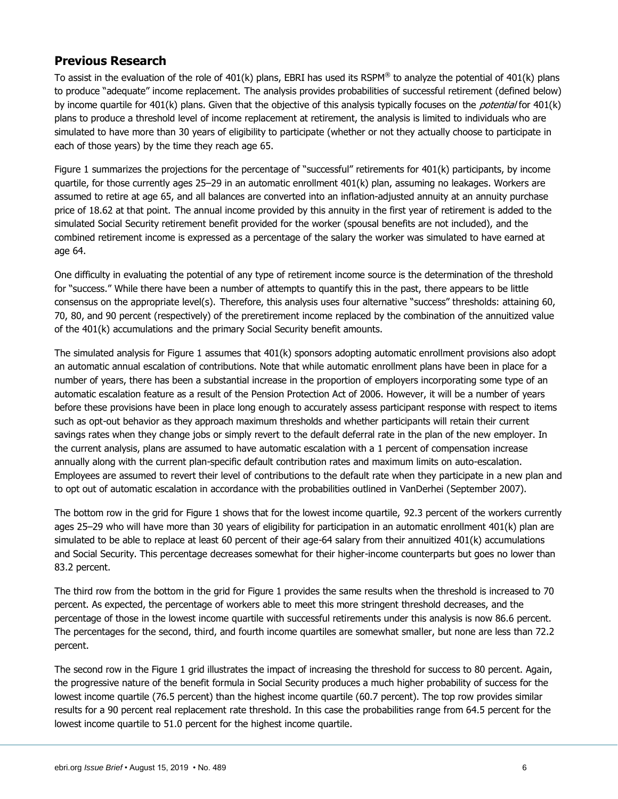### <span id="page-5-0"></span>**Previous Research**

To assist in the evaluation of the role of 401(k) plans, EBRI has used its RSPM® to analyze the potential of 401(k) plans to produce "adequate" income replacement. The analysis provides probabilities of successful retirement (defined below) by income quartile for 401(k) plans. Given that the objective of this analysis typically focuses on the *potential* for 401(k) plans to produce a threshold level of income replacement at retirement, the analysis is limited to individuals who are simulated to have more than 30 years of eligibility to participate (whether or not they actually choose to participate in each of those years) by the time they reach age 65.

Figure 1 summarizes the projections for the percentage of "successful" retirements for 401(k) participants, by income quartile, for those currently ages 25–29 in an automatic enrollment 401(k) plan, assuming no leakages. Workers are assumed to retire at age 65, and all balances are converted into an inflation-adjusted annuity at an annuity purchase price of 18.62 at that point. The annual income provided by this annuity in the first year of retirement is added to the simulated Social Security retirement benefit provided for the worker (spousal benefits are not included), and the combined retirement income is expressed as a percentage of the salary the worker was simulated to have earned at age 64.

One difficulty in evaluating the potential of any type of retirement income source is the determination of the threshold for "success." While there have been a number of attempts to quantify this in the past, there appears to be little consensus on the appropriate level(s). Therefore, this analysis uses four alternative "success" thresholds: attaining 60, 70, 80, and 90 percent (respectively) of the preretirement income replaced by the combination of the annuitized value of the 401(k) accumulations and the primary Social Security benefit amounts.

The simulated analysis for Figure 1 assumes that 401(k) sponsors adopting automatic enrollment provisions also adopt an automatic annual escalation of contributions. Note that while automatic enrollment plans have been in place for a number of years, there has been a substantial increase in the proportion of employers incorporating some type of an automatic escalation feature as a result of the Pension Protection Act of 2006. However, it will be a number of years before these provisions have been in place long enough to accurately assess participant response with respect to items such as opt-out behavior as they approach maximum thresholds and whether participants will retain their current savings rates when they change jobs or simply revert to the default deferral rate in the plan of the new employer. In the current analysis, plans are assumed to have automatic escalation with a 1 percent of compensation increase annually along with the current plan-specific default contribution rates and maximum limits on auto-escalation. Employees are assumed to revert their level of contributions to the default rate when they participate in a new plan and to opt out of automatic escalation in accordance with the probabilities outlined in VanDerhei (September 2007).

The bottom row in the grid for Figure 1 shows that for the lowest income quartile, 92.3 percent of the workers currently ages 25–29 who will have more than 30 years of eligibility for participation in an automatic enrollment 401(k) plan are simulated to be able to replace at least 60 percent of their age-64 salary from their annuitized 401(k) accumulations and Social Security. This percentage decreases somewhat for their higher-income counterparts but goes no lower than 83.2 percent.

The third row from the bottom in the grid for Figure 1 provides the same results when the threshold is increased to 70 percent. As expected, the percentage of workers able to meet this more stringent threshold decreases, and the percentage of those in the lowest income quartile with successful retirements under this analysis is now 86.6 percent. The percentages for the second, third, and fourth income quartiles are somewhat smaller, but none are less than 72.2 percent.

The second row in the Figure 1 grid illustrates the impact of increasing the threshold for success to 80 percent. Again, the progressive nature of the benefit formula in Social Security produces a much higher probability of success for the lowest income quartile (76.5 percent) than the highest income quartile (60.7 percent). The top row provides similar results for a 90 percent real replacement rate threshold. In this case the probabilities range from 64.5 percent for the lowest income quartile to 51.0 percent for the highest income quartile.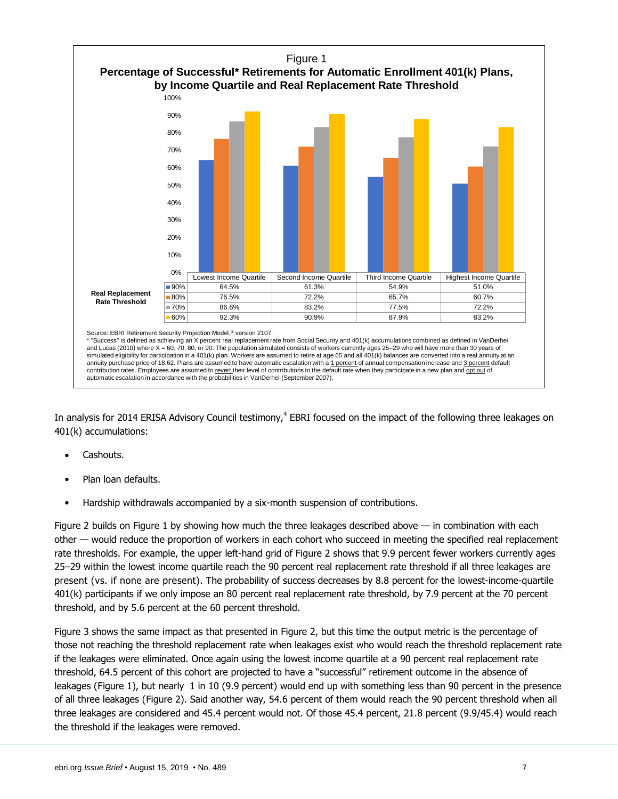

In analysis for 2014 ERISA Advisory Council testimony,<sup>4</sup> EBRI focused on the impact of the following three leakages on 401(k) accumulations:

- Cashouts.
- Plan loan defaults.
- Hardship withdrawals accompanied by a six-month suspension of contributions.

Figure 2 builds on Figure 1 by showing how much the three leakages described above — in combination with each other — would reduce the proportion of workers in each cohort who succeed in meeting the specified real replacement rate thresholds. For example, the upper left-hand grid of Figure 2 shows that 9.9 percent fewer workers currently ages 25–29 within the lowest income quartile reach the 90 percent real replacement rate threshold if all three leakages are present (vs. if none are present). The probability of success decreases by 8.8 percent for the lowest-income-quartile 401(k) participants if we only impose an 80 percent real replacement rate threshold, by 7.9 percent at the 70 percent threshold, and by 5.6 percent at the 60 percent threshold.

Figure 3 shows the same impact as that presented in Figure 2, but this time the output metric is the percentage of those not reaching the threshold replacement rate when leakages exist who would reach the threshold replacement rate if the leakages were eliminated. Once again using the lowest income quartile at a 90 percent real replacement rate threshold, 64.5 percent of this cohort are projected to have a "successful" retirement outcome in the absence of leakages (Figure 1), but nearly 1 in 10 (9.9 percent) would end up with something less than 90 percent in the presence of all three leakages (Figure 2). Said another way, 54.6 percent of them would reach the 90 percent threshold when all three leakages are considered and 45.4 percent would not. Of those 45.4 percent, 21.8 percent (9.9/45.4) would reach the threshold if the leakages were removed.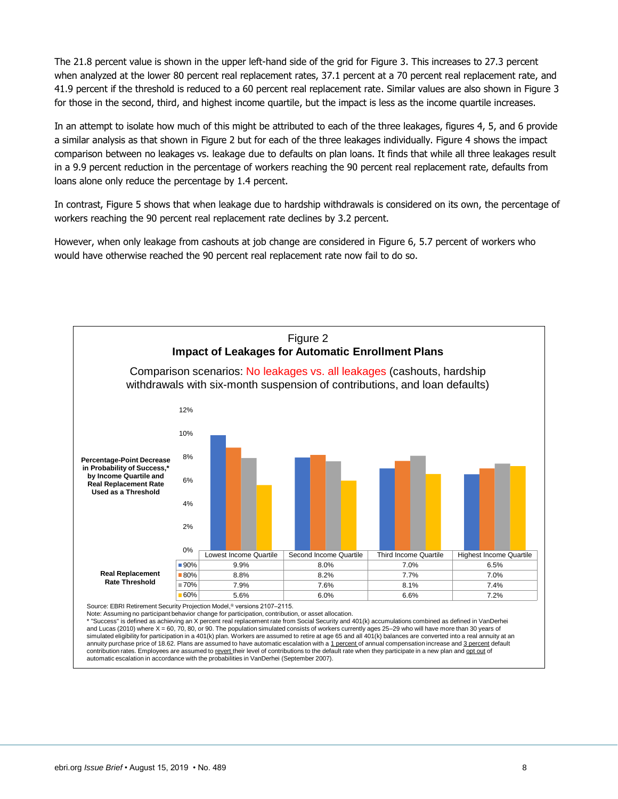The 21.8 percent value is shown in the upper left-hand side of the grid for Figure 3. This increases to 27.3 percent when analyzed at the lower 80 percent real replacement rates, 37.1 percent at a 70 percent real replacement rate, and 41.9 percent if the threshold is reduced to a 60 percent real replacement rate. Similar values are also shown in Figure 3 for those in the second, third, and highest income quartile, but the impact is less as the income quartile increases.

In an attempt to isolate how much of this might be attributed to each of the three leakages, figures 4, 5, and 6 provide a similar analysis as that shown in Figure 2 but for each of the three leakages individually. Figure 4 shows the impact comparison between no leakages vs. leakage due to defaults on plan loans. It finds that while all three leakages result in a 9.9 percent reduction in the percentage of workers reaching the 90 percent real replacement rate, defaults from loans alone only reduce the percentage by 1.4 percent.

In contrast, Figure 5 shows that when leakage due to hardship withdrawals is considered on its own, the percentage of workers reaching the 90 percent real replacement rate declines by 3.2 percent.

However, when only leakage from cashouts at job change are considered in Figure 6, 5.7 percent of workers who would have otherwise reached the 90 percent real replacement rate now fail to do so.



\* "Success" is defined as achieving an X percent real replacement rate from Social Security and 401(k) accumulations combined as defined in VanDerhei and Lucas (2010) where X = 60, 70, 80, or 90. The population simulated consists of workers currently ages 25–29 who will have more than 30 years of simulated eligibility for participation in a 401(k) plan. Workers are assumed to retire at age 65 and all 401(k) balances are converted into a real annuity at an annuity purchase price of 18.62. Plans are assumed to have automatic escalation with a 1 percent of annual compensation increase and 3 percent default contribution rates. Employees are assumed to revert their level of contributions to the default rate when they participate in a new plan and opt out of automatic escalation in accordance with the probabilities in VanDerhei (September 2007).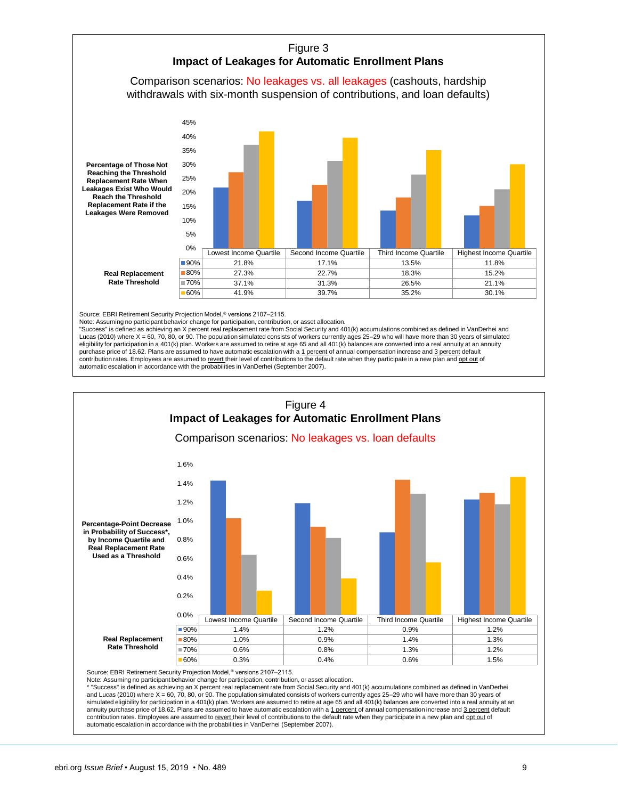

Source: EBRI Retirement Security Projection Model,<sup>®</sup> versions 2107-2115.

Note: Assuming no participant behavior change for participation, contribution, or asset allocation. "Success" is defined as achieving an X percent real replacement rate from Social Security and 401(k) accumulations combined as defined in VanDerhei and Lucas (2010) where X = 60, 70, 80, or 90. The population simulated consists of workers currently ages 25–29 who will have more than 30 years of simulated eligibility for participation in a 401(k) plan. Workers are assumed to retire at age 65 and all 401(k) balances are converted into a real annuity at an annuity purchase price of 18.62. Plans are assumed to have automatic escalation with a 1 percent of annual compensation increase and 3 percent default contribution rates. Employees are assumed to revert their level of contributions to the default rate when they participate in a new plan and ont out of automatic escalation in accordance with the probabilities in VanDerhei (September 2007).



Source: EBRI Retirement Security Projection Model,<sup>®</sup> versions 2107-2115. Note: Assuming no participant behavior change for participation, contribution, or asset allocation.

\* "Success" is defined as achieving an X percent real replacement rate from Social Security and 401(k) accumulations combined as defined in VanDerhei and Lucas (2010) where X = 60, 70, 80, or 90. The population simulated consists of workers currently ages 25–29 who will have more than 30 years of simulated eligibility for participation in a 401(k) plan. Workers are assumed to retire at age 65 and all 401(k) balances are converted into a real annuity at an annuity purchase price of 18.62. Plans are assumed to have automatic escalation with a 1 percent of annual compensation increase and 3 percent default contribution rates. Employees are assumed to revert their level of contributions to the default rate when they participate in a new plan and ont out of automatic escalation in accordance with the probabilities in VanDerhei (September 2007).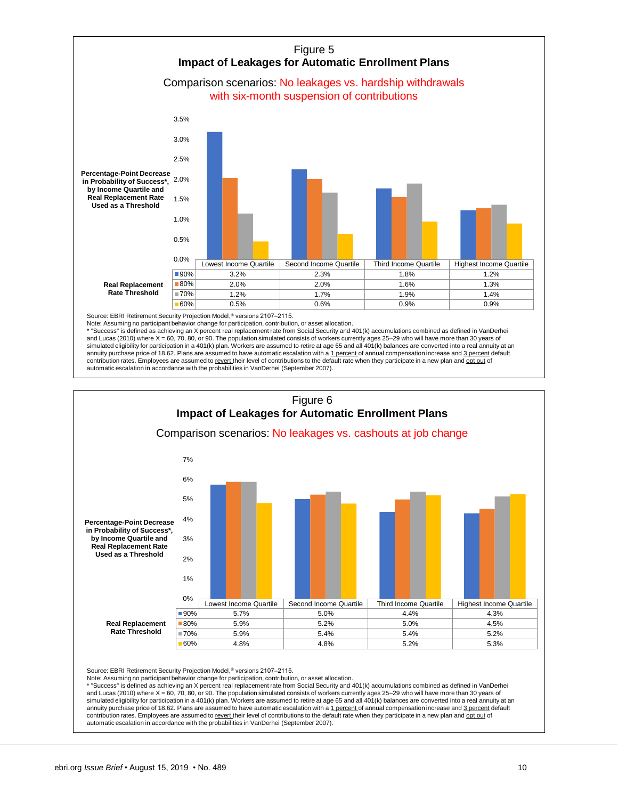

Source: EBRI Retirement Security Projection Model,<sup>®</sup> versions 2107-2115.

Note: Assuming no participant behavior change for participation, contribution, or asset allocation.<br>\* "Success" is defined as achieving an X percent real replacement rate from Social Security and 401(k) accumulations combi and Lucas (2010) where  $X = 60$ , 70, 80, or 90. The population simulated consists of workers currently ages 25–29 who will have more than 30 years of simulated eligibility for participation in a 401(k) plan. Workers are assumed to retire at age 65 and all 401(k) balances are converted into a real annuity at an annuity purchase price of 18.62. Plans are assumed to have automatic escalation with a 1 percent of annual compensation increase and 3 percent default contribution rates. Employees are assumed to revert their level of contributions to the default rate when they participate in a new plan and opt out of automatic escalation in accordance with the probabilities in VanDerhei (September 2007).



Source: EBRI Retirement Security Projection Model,<sup>®</sup> versions 2107-2115.

Note: Assuming no participant behavior change for participation, contribution, or asset allocation.<br>\* "Success" is defined as ashining as Y ass

\* "Success" is defined as achieving an X percent real replacement rate from Social Security and 401(k) accumulations combined as defined in VanDerhei and Lucas (2010) where X = 60, 70, 80, or 90. The population simulated consists of workers currently ages 25–29 who will have more than 30 years of simulated eligibility for participation in a 401(k) plan. Workers are assumed to retire at age 65 and all 401(k) balances are converted into a real annuity at an annuity purchase price of 18.62. Plans are assumed to have automatic escalation with a 1 percent of annual compensation increase and 3 percent default contribution rates. Employees are assumed to revert their level of contributions to the default rate when they participate in a new plan and opt out of automatic escalation in accordance with the probabilities in VanDerhei (September 2007).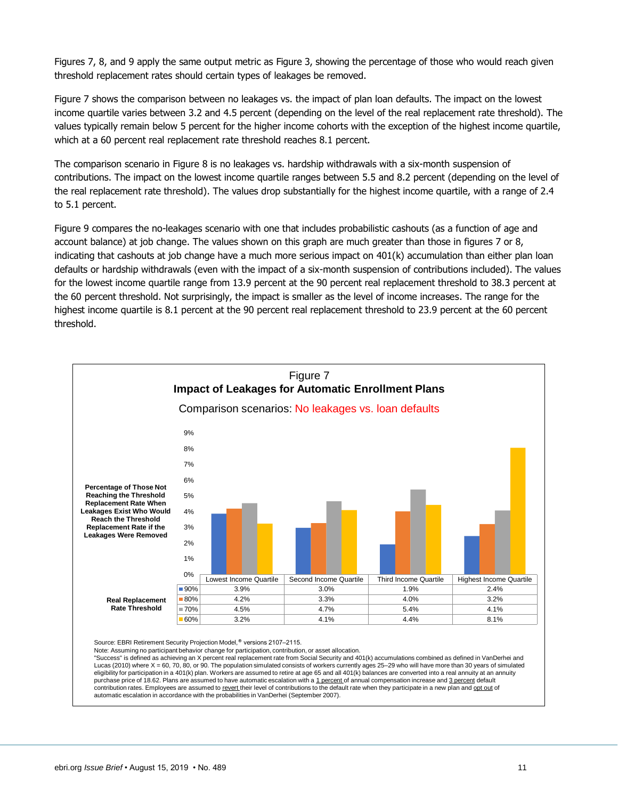Figures 7, 8, and 9 apply the same output metric as Figure 3, showing the percentage of those who would reach given threshold replacement rates should certain types of leakages be removed.

Figure 7 shows the comparison between no leakages vs. the impact of plan loan defaults. The impact on the lowest income quartile varies between 3.2 and 4.5 percent (depending on the level of the real replacement rate threshold). The values typically remain below 5 percent for the higher income cohorts with the exception of the highest income quartile, which at a 60 percent real replacement rate threshold reaches 8.1 percent.

The comparison scenario in Figure 8 is no leakages vs. hardship withdrawals with a six-month suspension of contributions. The impact on the lowest income quartile ranges between 5.5 and 8.2 percent (depending on the level of the real replacement rate threshold). The values drop substantially for the highest income quartile, with a range of 2.4 to 5.1 percent.

Figure 9 compares the no-leakages scenario with one that includes probabilistic cashouts (as a function of age and account balance) at job change. The values shown on this graph are much greater than those in figures 7 or 8, indicating that cashouts at job change have a much more serious impact on 401(k) accumulation than either plan loan defaults or hardship withdrawals (even with the impact of a six-month suspension of contributions included). The values for the lowest income quartile range from 13.9 percent at the 90 percent real replacement threshold to 38.3 percent at the 60 percent threshold. Not surprisingly, the impact is smaller as the level of income increases. The range for the highest income quartile is 8.1 percent at the 90 percent real replacement threshold to 23.9 percent at the 60 percent threshold.



Note: Assuming no participant behavior change for participation, contribution, or asset allocation. "Success" is defined as achieving an X percent real replacement rate from Social Security and 401(k) accumulations combined as defined in VanDerhei and Lucas (2010) where X = 60, 70, 80, or 90. The population simulated consists of workers currently ages 25-29 who will have more than 30 years of simulated eligibility for participation in a 401(k) plan. Workers are assumed to retire at age 65 and all 401(k) balances are converted into a real annuity at an annuity purchase price of 18.62. Plans are assumed to have automatic escalation with a 1 percent of annual compensation increase and 3 percent default contribution rates. Employees are assumed to revert their level of contributions to the default rate when they participate in a new plan and opt out of automatic escalation in accordance with the probabilities in VanDerhei (September 2007).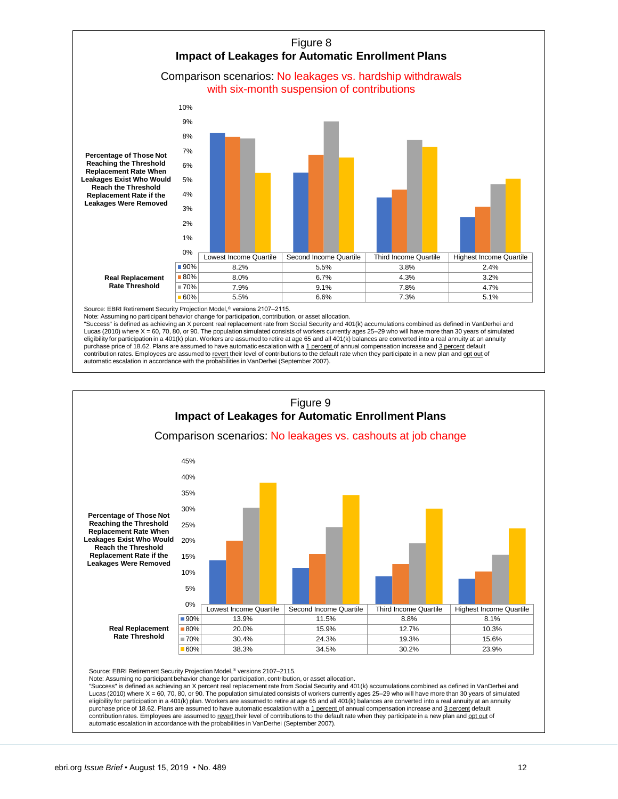

Source: EBRI Retirement Security Projection Model,<sup>®</sup> versions 2107-2115.

Note: Assuming no participant behavior change for participation, contribution, or asset allocation.

"Success" is defined as achieving an X percent real replacement rate from Social Security and 401(k) accumulations combined as defined in VanDerhei and Lucas (2010) where X = 60, 70, 80, or 90. The population simulated consists of workers currently ages 25–29 who will have more than 30 years of simulated<br>eligibility for participation in a 401(k) plan. Workers are assumed purchase price of 18.62. Plans are assumed to have automatic escalation with a 1 percent of annual compensation increase and 3 percent default contribution rates. Employees are assumed to revert their level of contributions to the default rate when they participate in a new plan and ont out of automatic escalation in accordance with the probabilities in VanDerhei (September 2007).



Source: EBRI Retirement Security Projection Model,® versions 2107–2115.

Note: Assuming no participant behavior change for participation, contribution, or asset allocation.

"Success" is defined as achieving an X percent real replacement rate from Social Security and 401(k) accumulations combined as defined in VanDerhei and Lucas (2010) where X = 60, 70, 80, or 90. The population simulated consists of workers currently ages 25–29 who will have more than 30 years of simulated<br>eligibility for participation in a 401(k) plan. Workers are assumed purchase price of 18.62. Plans are assumed to have automatic escalation with a 1 percent of annual compensation increase and 3 percent default contribution rates. Employees are assumed to revert their level of contributions to the default rate when they participate in a new plan and ont out of automatic escalation in accordance with the probabilities in VanDerhei (September 2007).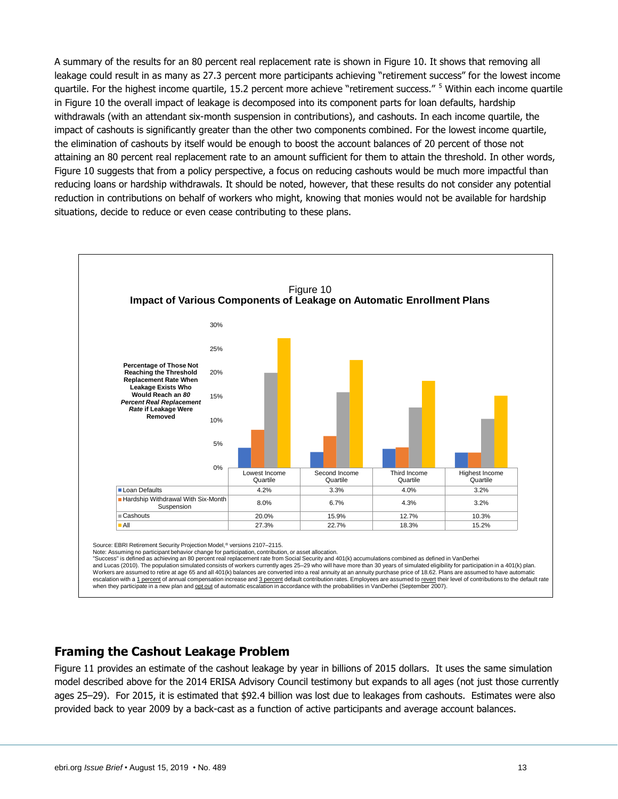A summary of the results for an 80 percent real replacement rate is shown in Figure 10. It shows that removing all leakage could result in as many as 27.3 percent more participants achieving "retirement success" for the lowest income quartile. For the highest income quartile, 15.2 percent more achieve "retirement success." <sup>5</sup> Within each income quartile in Figure 10 the overall impact of leakage is decomposed into its component parts for loan defaults, hardship withdrawals (with an attendant six-month suspension in contributions), and cashouts. In each income quartile, the impact of cashouts is significantly greater than the other two components combined. For the lowest income quartile, the elimination of cashouts by itself would be enough to boost the account balances of 20 percent of those not attaining an 80 percent real replacement rate to an amount sufficient for them to attain the threshold. In other words, Figure 10 suggests that from a policy perspective, a focus on reducing cashouts would be much more impactful than reducing loans or hardship withdrawals. It should be noted, however, that these results do not consider any potential reduction in contributions on behalf of workers who might, knowing that monies would not be available for hardship situations, decide to reduce or even cease contributing to these plans.



Source: EBRI Retirement Security Projection Model,® versions 2107–2115.

Note: Assuming no participant behavior change for participation, contribution, or asset allocation. "Success" is defined as achieving an 80 percent real replacement rate from Social Security and 401(k) accumulations combined as defined in VanDerhei

and Lucas (2010). The population simulated consists of workers currently ages 25–29 who will have more than 30 years of simulated eligibility for participation in a 401(k) plan. Workers are assumed to retire at age 65 and all 401(k) balances are converted into a real annuity at an annuity purchase price of 18.62. Plans are assumed to have automatic escalation with a 1 percent of annual compensation increase and 3 percent default contribution rates. Employees are assumed to revert their level of contributions to the default rate when they participate in a new plan and opt out of automatic escalation in accordance with the probabilities in VanDerhei (September 2007).

### <span id="page-12-0"></span>**Framing the Cashout Leakage Problem**

Figure 11 provides an estimate of the cashout leakage by year in billions of 2015 dollars. It uses the same simulation model described above for the 2014 ERISA Advisory Council testimony but expands to all ages (not just those currently ages 25–29). For 2015, it is estimated that \$92.4 billion was lost due to leakages from cashouts. Estimates were also provided back to year 2009 by a back-cast as a function of active participants and average account balances.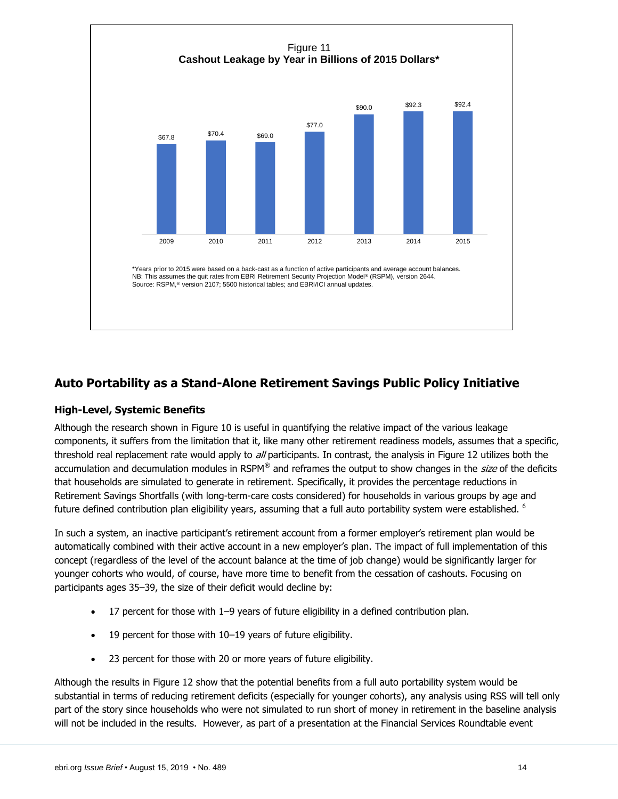

### <span id="page-13-0"></span>**Auto Portability as a Stand-Alone Retirement Savings Public Policy Initiative**

#### <span id="page-13-1"></span>**High-Level, Systemic Benefits**

Although the research shown in Figure 10 is useful in quantifying the relative impact of the various leakage components, it suffers from the limitation that it, like many other retirement readiness models, assumes that a specific, threshold real replacement rate would apply to all participants. In contrast, the analysis in Figure 12 utilizes both the accumulation and decumulation modules in RSPM® and reframes the output to show changes in the size of the deficits that households are simulated to generate in retirement. Specifically, it provides the percentage reductions in Retirement Savings Shortfalls (with long-term-care costs considered) for households in various groups by age and future defined contribution plan eligibility years, assuming that a full auto portability system were established. <sup>6</sup>

In such a system, an inactive participant's retirement account from a former employer's retirement plan would be automatically combined with their active account in a new employer's plan. The impact of full implementation of this concept (regardless of the level of the account balance at the time of job change) would be significantly larger for younger cohorts who would, of course, have more time to benefit from the cessation of cashouts. Focusing on participants ages 35–39, the size of their deficit would decline by:

- 17 percent for those with 1–9 years of future eligibility in a defined contribution plan.
- 19 percent for those with 10–19 years of future eligibility.
- 23 percent for those with 20 or more years of future eligibility.

Although the results in Figure 12 show that the potential benefits from a full auto portability system would be substantial in terms of reducing retirement deficits (especially for younger cohorts), any analysis using RSS will tell only part of the story since households who were not simulated to run short of money in retirement in the baseline analysis will not be included in the results. However, as part of a presentation at the Financial Services Roundtable event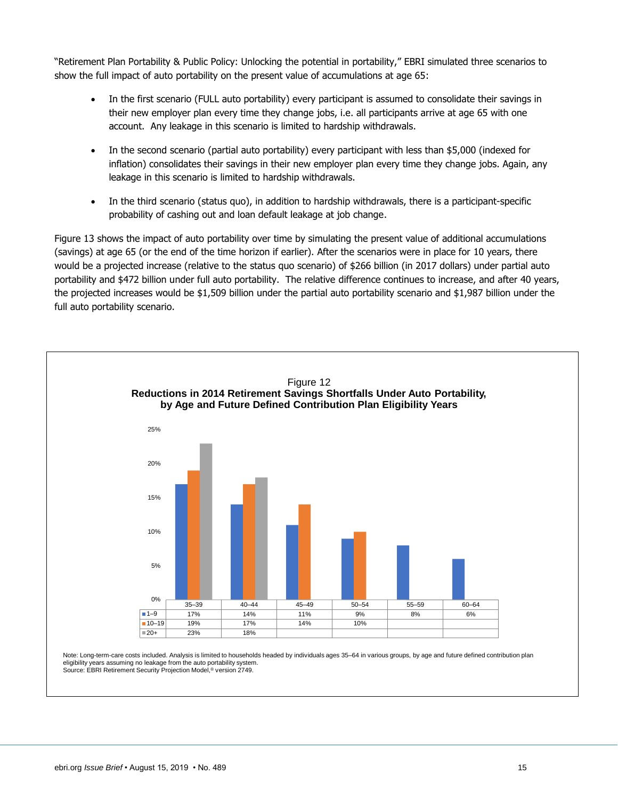"Retirement Plan Portability & Public Policy: Unlocking the potential in portability," EBRI simulated three scenarios to show the full impact of auto portability on the present value of accumulations at age 65:

- In the first scenario (FULL auto portability) every participant is assumed to consolidate their savings in their new employer plan every time they change jobs, i.e. all participants arrive at age 65 with one account. Any leakage in this scenario is limited to hardship withdrawals.
- In the second scenario (partial auto portability) every participant with less than \$5,000 (indexed for inflation) consolidates their savings in their new employer plan every time they change jobs. Again, any leakage in this scenario is limited to hardship withdrawals.
- In the third scenario (status quo), in addition to hardship withdrawals, there is a participant-specific probability of cashing out and loan default leakage at job change.

Figure 13 shows the impact of auto portability over time by simulating the present value of additional accumulations (savings) at age 65 (or the end of the time horizon if earlier). After the scenarios were in place for 10 years, there would be a projected increase (relative to the status quo scenario) of \$266 billion (in 2017 dollars) under partial auto portability and \$472 billion under full auto portability. The relative difference continues to increase, and after 40 years, the projected increases would be \$1,509 billion under the partial auto portability scenario and \$1,987 billion under the full auto portability scenario.

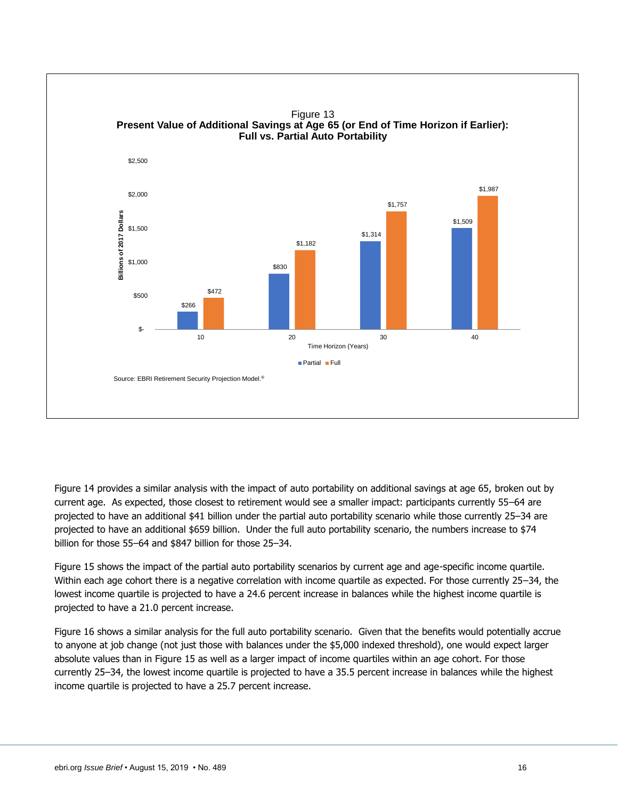

Figure 14 provides a similar analysis with the impact of auto portability on additional savings at age 65, broken out by current age. As expected, those closest to retirement would see a smaller impact: participants currently 55–64 are projected to have an additional \$41 billion under the partial auto portability scenario while those currently 25–34 are projected to have an additional \$659 billion. Under the full auto portability scenario, the numbers increase to \$74 billion for those 55–64 and \$847 billion for those 25–34.

Figure 15 shows the impact of the partial auto portability scenarios by current age and age-specific income quartile. Within each age cohort there is a negative correlation with income quartile as expected. For those currently 25–34, the lowest income quartile is projected to have a 24.6 percent increase in balances while the highest income quartile is projected to have a 21.0 percent increase.

Figure 16 shows a similar analysis for the full auto portability scenario. Given that the benefits would potentially accrue to anyone at job change (not just those with balances under the \$5,000 indexed threshold), one would expect larger absolute values than in Figure 15 as well as a larger impact of income quartiles within an age cohort. For those currently 25–34, the lowest income quartile is projected to have a 35.5 percent increase in balances while the highest income quartile is projected to have a 25.7 percent increase.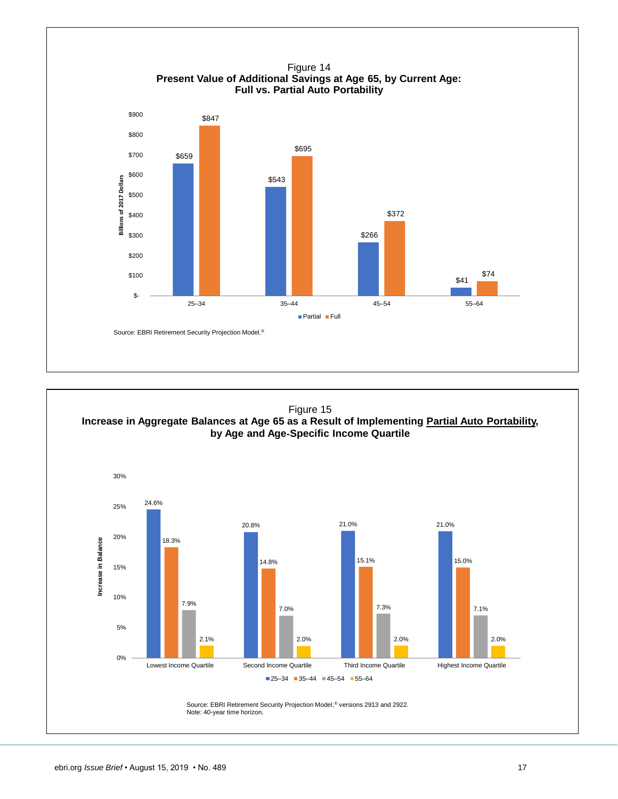

Figure 15 **Increase in Aggregate Balances at Age 65 as a Result of Implementing Partial Auto Portability, by Age and Age**‐**Specific Income Quartile**

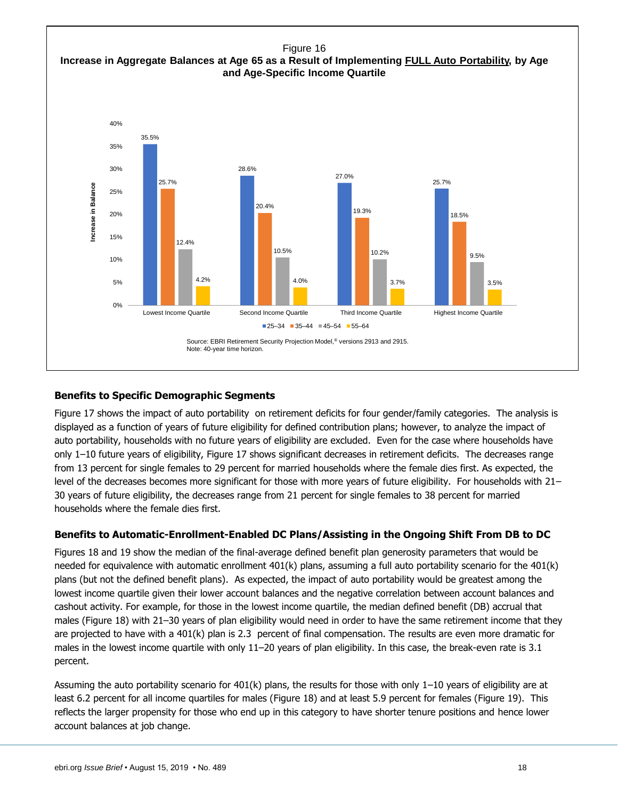

#### <span id="page-17-0"></span>**Benefits to Specific Demographic Segments**

Figure 17 shows the impact of auto portability on retirement deficits for four gender/family categories. The analysis is displayed as a function of years of future eligibility for defined contribution plans; however, to analyze the impact of auto portability, households with no future years of eligibility are excluded. Even for the case where households have only 1–10 future years of eligibility, Figure 17 shows significant decreases in retirement deficits. The decreases range from 13 percent for single females to 29 percent for married households where the female dies first. As expected, the level of the decreases becomes more significant for those with more years of future eligibility. For households with 21– 30 years of future eligibility, the decreases range from 21 percent for single females to 38 percent for married households where the female dies first.

#### <span id="page-17-1"></span>**Benefits to Automatic-Enrollment-Enabled DC Plans/Assisting in the Ongoing Shift From DB to DC**

Figures 18 and 19 show the median of the final-average defined benefit plan generosity parameters that would be needed for equivalence with automatic enrollment 401(k) plans, assuming a full auto portability scenario for the 401(k) plans (but not the defined benefit plans). As expected, the impact of auto portability would be greatest among the lowest income quartile given their lower account balances and the negative correlation between account balances and cashout activity. For example, for those in the lowest income quartile, the median defined benefit (DB) accrual that males (Figure 18) with 21-30 years of plan eligibility would need in order to have the same retirement income that they are projected to have with a 401(k) plan is 2.3 percent of final compensation. The results are even more dramatic for males in the lowest income quartile with only 11–20 years of plan eligibility. In this case, the break-even rate is 3.1 percent.

Assuming the auto portability scenario for 401(k) plans, the results for those with only 1–10 years of eligibility are at least 6.2 percent for all income quartiles for males (Figure 18) and at least 5.9 percent for females (Figure 19). This reflects the larger propensity for those who end up in this category to have shorter tenure positions and hence lower account balances at job change.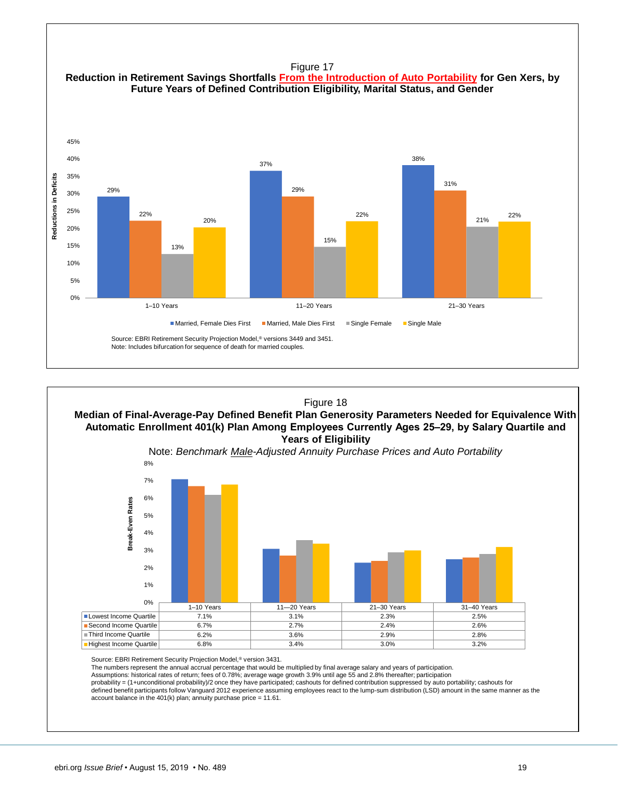



Assumptions: historical rates of return; fees of 0.78%; average wage growth 3.9% until age 55 and 2.8% thereafter; participation<br>probability = (1+unconditional probability)/2 once they have participated; cashouts for defin

defined benefit participants follow Vanguard 2012 experience assuming employees react to the lump-sum distribution (LSD) amount in the same manner as the account balance in the 401(k) plan; annuity purchase price = 11.61.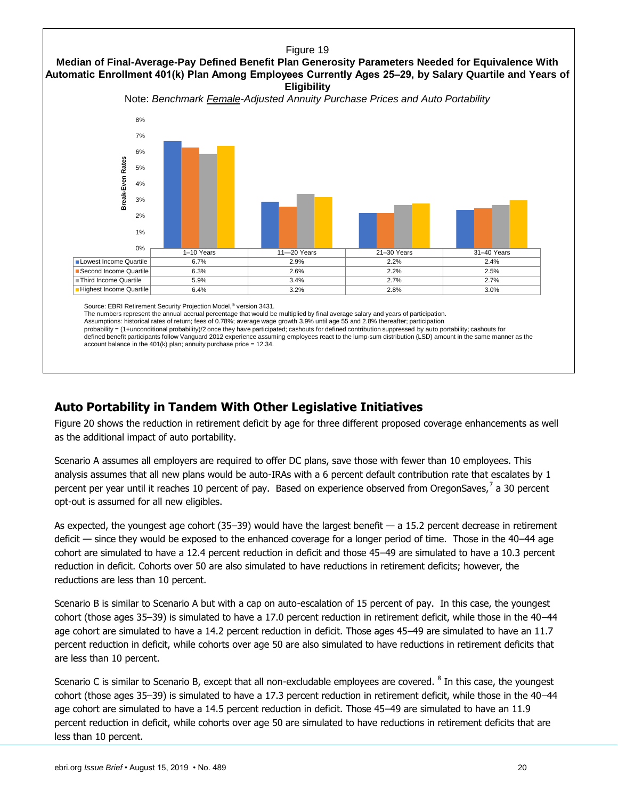

Source: EBRI Retirement Security Projection Model,® version 3431.

The numbers represent the annual accrual percentage that would be multiplied by final average salary and years of participation.

Assumptions: historical rates of return; fees of 0.78%; average wage growth 3.9% until age 55 and 2.8% thereafter; participation

probability = (1+unconditional probability)/2 once they have participated; cashouts for defined contribution suppressed by auto portability; cashouts for defined benefit participants follow Vanguard 2012 experience assuming employees react to the lump-sum distribution (LSD) amount in the same manner as the account balance in the  $401(k)$  plan; annuity purchase price =  $12.34$ .

### <span id="page-19-0"></span>**Auto Portability in Tandem With Other Legislative Initiatives**

Figure 20 shows the reduction in retirement deficit by age for three different proposed coverage enhancements as well as the additional impact of auto portability.

Scenario A assumes all employers are required to offer DC plans, save those with fewer than 10 employees. This analysis assumes that all new plans would be auto-IRAs with a 6 percent default contribution rate that escalates by 1 percent per year until it reaches 10 percent of pay. Based on experience observed from OregonSaves,<sup>7</sup> a 30 percent opt-out is assumed for all new eligibles.

As expected, the youngest age cohort  $(35-39)$  would have the largest benefit  $-$  a 15.2 percent decrease in retirement deficit — since they would be exposed to the enhanced coverage for a longer period of time. Those in the 40–44 age cohort are simulated to have a 12.4 percent reduction in deficit and those 45–49 are simulated to have a 10.3 percent reduction in deficit. Cohorts over 50 are also simulated to have reductions in retirement deficits; however, the reductions are less than 10 percent.

Scenario B is similar to Scenario A but with a cap on auto-escalation of 15 percent of pay. In this case, the youngest cohort (those ages 35–39) is simulated to have a 17.0 percent reduction in retirement deficit, while those in the 40–44 age cohort are simulated to have a 14.2 percent reduction in deficit. Those ages 45–49 are simulated to have an 11.7 percent reduction in deficit, while cohorts over age 50 are also simulated to have reductions in retirement deficits that are less than 10 percent.

Scenario C is similar to Scenario B, except that all non-excludable employees are covered.  $^8$  In this case, the youngest cohort (those ages 35–39) is simulated to have a 17.3 percent reduction in retirement deficit, while those in the 40–44 age cohort are simulated to have a 14.5 percent reduction in deficit. Those 45–49 are simulated to have an 11.9 percent reduction in deficit, while cohorts over age 50 are simulated to have reductions in retirement deficits that are less than 10 percent.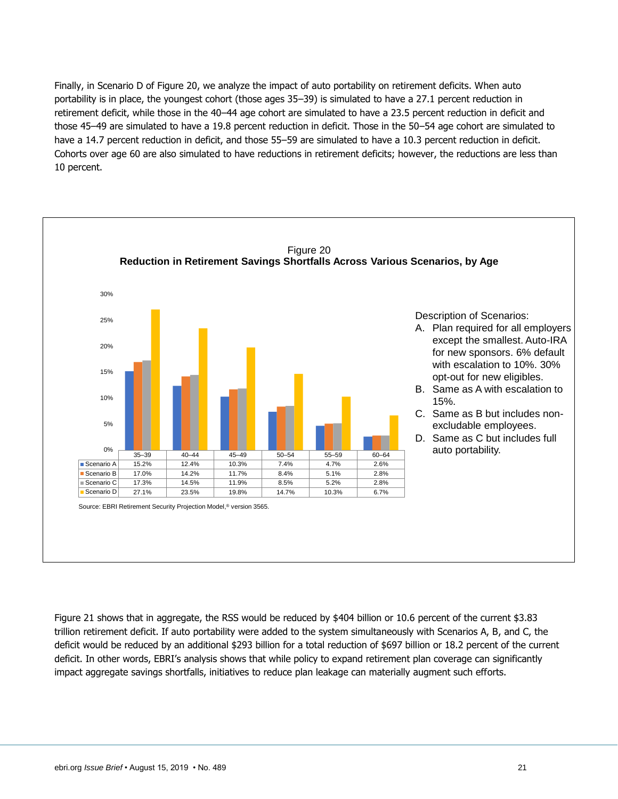Finally, in Scenario D of Figure 20, we analyze the impact of auto portability on retirement deficits. When auto portability is in place, the youngest cohort (those ages 35–39) is simulated to have a 27.1 percent reduction in retirement deficit, while those in the 40–44 age cohort are simulated to have a 23.5 percent reduction in deficit and those 45–49 are simulated to have a 19.8 percent reduction in deficit. Those in the 50–54 age cohort are simulated to have a 14.7 percent reduction in deficit, and those 55–59 are simulated to have a 10.3 percent reduction in deficit. Cohorts over age 60 are also simulated to have reductions in retirement deficits; however, the reductions are less than 10 percent.



Figure 21 shows that in aggregate, the RSS would be reduced by \$404 billion or 10.6 percent of the current \$3.83 trillion retirement deficit. If auto portability were added to the system simultaneously with Scenarios A, B, and C, the deficit would be reduced by an additional \$293 billion for a total reduction of \$697 billion or 18.2 percent of the current deficit. In other words, EBRI's analysis shows that while policy to expand retirement plan coverage can significantly impact aggregate savings shortfalls, initiatives to reduce plan leakage can materially augment such efforts.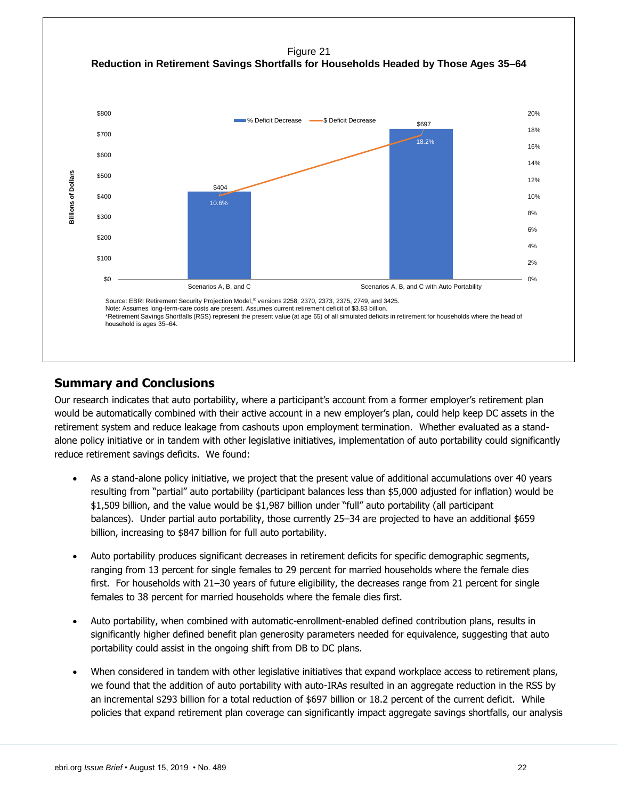

## <span id="page-21-0"></span>**Summary and Conclusions**

Our research indicates that auto portability, where a participant's account from a former employer's retirement plan would be automatically combined with their active account in a new employer's plan, could help keep DC assets in the retirement system and reduce leakage from cashouts upon employment termination. Whether evaluated as a standalone policy initiative or in tandem with other legislative initiatives, implementation of auto portability could significantly reduce retirement savings deficits. We found:

- As a stand-alone policy initiative, we project that the present value of additional accumulations over 40 years resulting from "partial" auto portability (participant balances less than \$5,000 adjusted for inflation) would be \$1,509 billion, and the value would be \$1,987 billion under "full" auto portability (all participant balances). Under partial auto portability, those currently 25–34 are projected to have an additional \$659 billion, increasing to \$847 billion for full auto portability.
- Auto portability produces significant decreases in retirement deficits for specific demographic segments, ranging from 13 percent for single females to 29 percent for married households where the female dies first. For households with 21–30 years of future eligibility, the decreases range from 21 percent for single females to 38 percent for married households where the female dies first.
- Auto portability, when combined with automatic-enrollment-enabled defined contribution plans, results in significantly higher defined benefit plan generosity parameters needed for equivalence, suggesting that auto portability could assist in the ongoing shift from DB to DC plans.
- When considered in tandem with other legislative initiatives that expand workplace access to retirement plans, we found that the addition of auto portability with auto-IRAs resulted in an aggregate reduction in the RSS by an incremental \$293 billion for a total reduction of \$697 billion or 18.2 percent of the current deficit. While policies that expand retirement plan coverage can significantly impact aggregate savings shortfalls, our analysis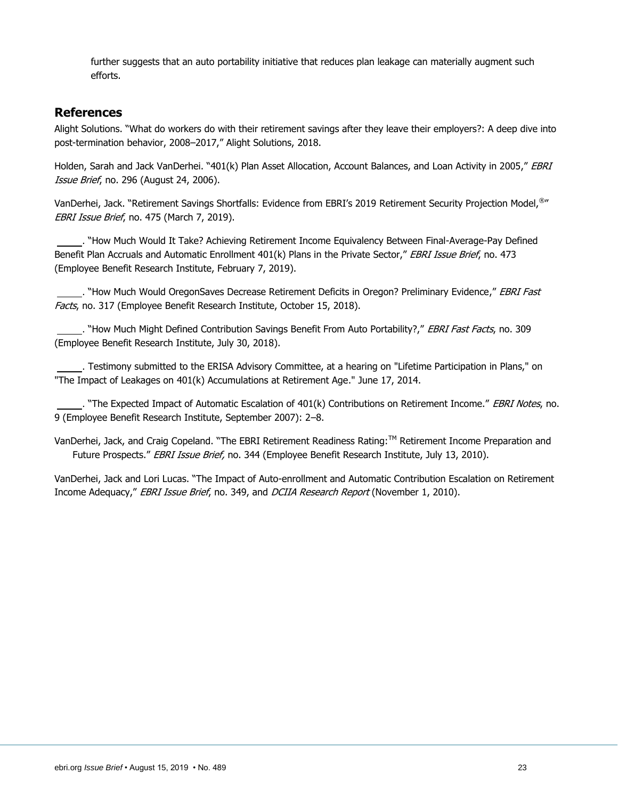further suggests that an auto portability initiative that reduces plan leakage can materially augment such efforts.

#### <span id="page-22-0"></span>**References**

Alight Solutions. "What do workers do with their retirement savings after they leave their employers?: A deep dive into post-termination behavior, 2008–2017," Alight Solutions, 2018.

Holden, Sarah and Jack VanDerhei. "401(k) Plan Asset Allocation, Account Balances, and Loan Activity in 2005," EBRI Issue Brief, no. 296 (August 24, 2006).

VanDerhei, Jack. "Retirement Savings Shortfalls: Evidence from EBRI's 2019 Retirement Security Projection Model,<sup>®</sup>" EBRI Issue Brief, no. 475 (March 7, 2019).

 . "How Much Would It Take? Achieving Retirement Income Equivalency Between Final-Average-Pay Defined Benefit Plan Accruals and Automatic Enrollment 401(k) Plans in the Private Sector," EBRI Issue Brief, no. 473 (Employee Benefit Research Institute, February 7, 2019).

. "How Much Would OregonSaves Decrease Retirement Deficits in Oregon? Preliminary Evidence," EBRI Fast Facts, no. 317 (Employee Benefit Research Institute, October 15, 2018).

. "How Much Might Defined Contribution Savings Benefit From Auto Portability?," EBRI Fast Facts, no. 309 (Employee Benefit Research Institute, July 30, 2018).

 . Testimony submitted to the ERISA Advisory Committee, at a hearing on "Lifetime Participation in Plans," on "The Impact of Leakages on 401(k) Accumulations at Retirement Age." June 17, 2014.

. "The Expected Impact of Automatic Escalation of 401(k) Contributions on Retirement Income." EBRI Notes, no. 9 (Employee Benefit Research Institute, September 2007): 2–8.

VanDerhei, Jack, and Craig Copeland. "The EBRI Retirement Readiness Rating:™ [Retirement Income](http://papers.ssrn.com/sol3/papers_LAB.cfm?abstract_id=1152392) Preparation and [Future Prospects.](http://papers.ssrn.com/sol3/papers_LAB.cfm?abstract_id=1152392)" EBRI Issue Brief, no. 344 (Employee Benefit Research Institute, July 13, 2010).

VanDerhei, Jack and Lori Lucas. "The Impact of Auto-enrollment and Automatic Contribution Escalation on Retirement Income Adequacy," EBRI Issue Brief, no. 349, and DCIIA Research Report (November 1, 2010).